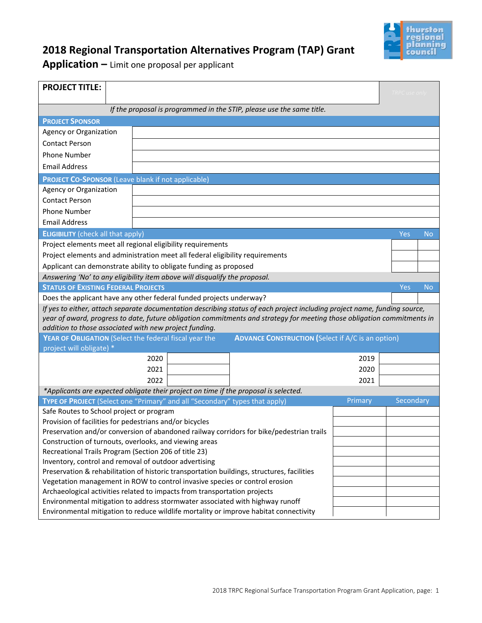

# **2018 Regional Transportation Alternatives Program (TAP) Grant**

**Application –** Limit one proposal per applicant

| <b>PROJECT TITLE:</b>                                                                                                                                               | Fort Stevens Elementary - Pedestrian Improvements<br><b>TRPC</b> use only |                                        |  |                                                                                                                           |         |           |           |
|---------------------------------------------------------------------------------------------------------------------------------------------------------------------|---------------------------------------------------------------------------|----------------------------------------|--|---------------------------------------------------------------------------------------------------------------------------|---------|-----------|-----------|
| If the proposal is programmed in the STIP, please use the same title.                                                                                               |                                                                           |                                        |  |                                                                                                                           |         |           |           |
|                                                                                                                                                                     |                                                                           |                                        |  |                                                                                                                           |         |           |           |
| <b>PROJECT SPONSOR</b>                                                                                                                                              |                                                                           |                                        |  |                                                                                                                           |         |           |           |
| Agency or Organization<br><b>Contact Person</b>                                                                                                                     |                                                                           | City of Yelm                           |  |                                                                                                                           |         |           |           |
|                                                                                                                                                                     |                                                                           | Chad Bedlington, Public Works Director |  |                                                                                                                           |         |           |           |
| <b>Phone Number</b>                                                                                                                                                 |                                                                           | 360-458-8412                           |  |                                                                                                                           |         |           |           |
|                                                                                                                                                                     | <b>Email Address</b><br>chadb@yelmwa.gov                                  |                                        |  |                                                                                                                           |         |           |           |
| <b>PROJECT CO-SPONSOR (Leave blank if not applicable)</b>                                                                                                           |                                                                           |                                        |  |                                                                                                                           |         |           |           |
| Agency or Organization                                                                                                                                              |                                                                           |                                        |  |                                                                                                                           |         |           |           |
| <b>Contact Person</b>                                                                                                                                               |                                                                           |                                        |  |                                                                                                                           |         |           |           |
| <b>Phone Number</b>                                                                                                                                                 |                                                                           |                                        |  |                                                                                                                           |         |           |           |
| <b>Email Address</b>                                                                                                                                                |                                                                           |                                        |  |                                                                                                                           |         |           |           |
| <b>ELIGIBILITY</b> (check all that apply)                                                                                                                           |                                                                           |                                        |  |                                                                                                                           |         | Yes       | <b>No</b> |
| Project elements meet all regional eligibility requirements                                                                                                         |                                                                           |                                        |  |                                                                                                                           |         | X         |           |
| Project elements and administration meet all federal eligibility requirements                                                                                       |                                                                           |                                        |  |                                                                                                                           |         | $\times$  |           |
| Applicant can demonstrate ability to obligate funding as proposed<br>$\overline{\mathsf{X}}$                                                                        |                                                                           |                                        |  |                                                                                                                           |         |           |           |
| Answering 'No' to any eligibility item above will disqualify the proposal.                                                                                          |                                                                           |                                        |  |                                                                                                                           |         |           |           |
| <b>STATUS OF EXISTING FEDERAL PROJECTS</b>                                                                                                                          |                                                                           |                                        |  |                                                                                                                           |         | Yes       | <b>No</b> |
| Does the applicant have any other federal funded projects underway?                                                                                                 |                                                                           |                                        |  |                                                                                                                           |         |           | $\times$  |
|                                                                                                                                                                     |                                                                           |                                        |  | If yes to either, attach separate documentation describing status of each project including project name, funding source, |         |           |           |
| year of award, progress to date, future obligation commitments and strategy for meeting those obligation commitments in                                             |                                                                           |                                        |  |                                                                                                                           |         |           |           |
| addition to those associated with new project funding.                                                                                                              |                                                                           |                                        |  |                                                                                                                           |         |           |           |
| YEAR OF OBLIGATION (Select the federal fiscal year the<br><b>ADVANCE CONSTRUCTION (Select if A/C is an option)</b>                                                  |                                                                           |                                        |  |                                                                                                                           |         |           |           |
| project will obligate) *                                                                                                                                            |                                                                           |                                        |  |                                                                                                                           |         |           |           |
|                                                                                                                                                                     |                                                                           | 2020                                   |  |                                                                                                                           | 2019    |           |           |
|                                                                                                                                                                     |                                                                           | 2021                                   |  |                                                                                                                           | 2020    |           |           |
|                                                                                                                                                                     |                                                                           | 2022                                   |  |                                                                                                                           | 2021    |           |           |
| *Applicants are expected obligate their project on time if the proposal is selected.<br>TYPE OF PROJECT (Select one "Primary" and all "Secondary" types that apply) |                                                                           |                                        |  |                                                                                                                           |         |           |           |
|                                                                                                                                                                     |                                                                           |                                        |  |                                                                                                                           | Primary | Secondary |           |
| Safe Routes to School project or program                                                                                                                            |                                                                           |                                        |  | X                                                                                                                         |         |           |           |
| Provision of facilities for pedestrians and/or bicycles                                                                                                             |                                                                           |                                        |  | X                                                                                                                         |         |           |           |
| Preservation and/or conversion of abandoned railway corridors for bike/pedestrian trails                                                                            |                                                                           |                                        |  |                                                                                                                           |         |           |           |
| Construction of turnouts, overlooks, and viewing areas<br>Recreational Trails Program (Section 206 of title 23)                                                     |                                                                           |                                        |  |                                                                                                                           |         |           |           |
| Inventory, control and removal of outdoor advertising                                                                                                               |                                                                           |                                        |  |                                                                                                                           |         |           |           |
| Preservation & rehabilitation of historic transportation buildings, structures, facilities                                                                          |                                                                           |                                        |  |                                                                                                                           |         |           |           |
| Vegetation management in ROW to control invasive species or control erosion                                                                                         |                                                                           |                                        |  |                                                                                                                           |         |           |           |
| Archaeological activities related to impacts from transportation projects                                                                                           |                                                                           |                                        |  |                                                                                                                           |         |           |           |
| Environmental mitigation to address stormwater associated with highway runoff                                                                                       |                                                                           |                                        |  |                                                                                                                           |         |           |           |
| Environmental mitigation to reduce wildlife mortality or improve habitat connectivity                                                                               |                                                                           |                                        |  |                                                                                                                           |         |           |           |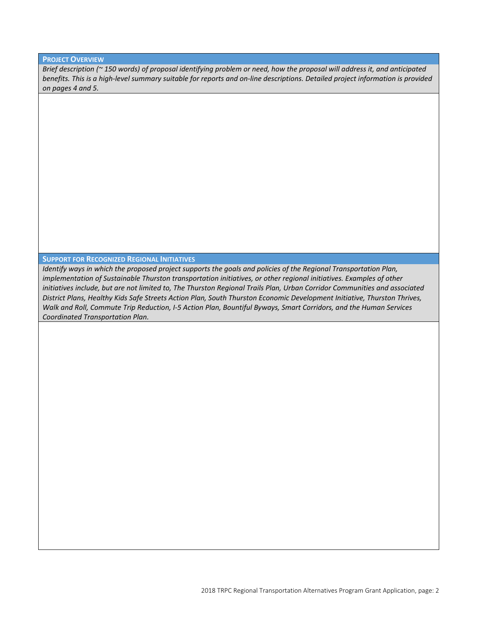#### **PROJECT OVERVIEW**

*Brief description (~ 150 words) of proposal identifying problem or need, how the proposal will address it, and anticipated benefits. This is a high-level summary suitable for reports and on-line descriptions. Detailed project information is provided on pages 4 and 5.*

The project will improve safety for students and pedestrians along 100th Way SE and Grove Road SE near Fort Stevens Elementary School. The existing roadway offers no protection from vehicles passing by or turning movements. There is a gap in sidewalk on the north and south sides of 100th Way SE directly in front of the school and to the east and west respectively. This project will tie into existing sidewalk and provide ADA compliant walkways along the roadways to eliminate the gaps.

#### **SUPPORT FOR RECOGNIZED REGIONAL INITIATIVES**

*Identify ways in which the proposed project supports the goals and policies of the Regional Transportation Plan, implementation of Sustainable Thurston transportation initiatives, or other regional initiatives. Examples of other initiatives include, but are not limited to, The Thurston Regional Trails Plan, Urban Corridor Communities and associated District Plans, Healthy Kids Safe Streets Action Plan, South Thurston Economic Development Initiative, Thurston Thrives, Walk and Roll, Commute Trip Reduction, I-5 Action Plan, Bountiful Byways, Smart Corridors, and the Human Services Coordinated Transportation Plan.*

The proposed sidewalk promotes pedestrian and student safety systems. Because the project connects sidewalks and walking paths for pedestrians and students in the vicinity of Fort Stevens Elementary School, it promotes safe routes to schools. The project promotes walking and policies relating to a direct, safe, interconnected pedestrian and student network providing pedestrian crossings and developing direct connections to the school.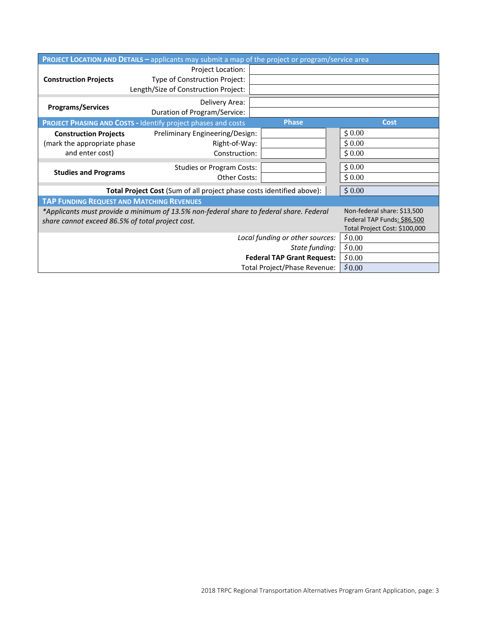|                                                                                                                        | <b>PROJECT LOCATION AND DETAILS - applicants may submit a map of the project or program/service area</b> |                                 |                               |  |  |
|------------------------------------------------------------------------------------------------------------------------|----------------------------------------------------------------------------------------------------------|---------------------------------|-------------------------------|--|--|
|                                                                                                                        | Project Location:                                                                                        | See Location Map                |                               |  |  |
| <b>Construction Projects</b>                                                                                           | Type of Construction Project:                                                                            | Pedestrian Improvements         |                               |  |  |
|                                                                                                                        | Length/Size of Construction Project:                                                                     | 1,500                           |                               |  |  |
|                                                                                                                        | Delivery Area:                                                                                           | City of Yelm School Routes      |                               |  |  |
| <b>Programs/Services</b>                                                                                               | Duration of Program/Service:                                                                             | School Year                     |                               |  |  |
|                                                                                                                        | <b>PROJECT PHASING AND COSTS - Identify project phases and costs</b>                                     | <b>Phase</b>                    | <b>Cost</b>                   |  |  |
| <b>Construction Projects</b>                                                                                           | Preliminary Engineering/Design:                                                                          |                                 | \$                            |  |  |
| (mark the appropriate phase                                                                                            | Right-of-Way:                                                                                            |                                 |                               |  |  |
| and enter cost)                                                                                                        | Construction:                                                                                            | $\times$                        | \$733,320.00                  |  |  |
|                                                                                                                        | <b>Studies or Program Costs:</b>                                                                         |                                 | \$0.00                        |  |  |
| <b>Studies and Programs</b>                                                                                            | <b>Other Costs:</b>                                                                                      |                                 | \$0.00                        |  |  |
| Total Project Cost (Sum of all project phase costs identified above):                                                  |                                                                                                          |                                 | \$733,320.00                  |  |  |
| <b>TAP FUNDING REQUEST AND MATCHING REVENUES</b>                                                                       |                                                                                                          |                                 |                               |  |  |
| Non-federal share: \$13,500<br>*Applicants must provide a minimum of 13.5% non-federal share to federal share. Federal |                                                                                                          |                                 |                               |  |  |
| share cannot exceed 86.5% of total project cost.                                                                       | Federal TAP Funds: \$86,500                                                                              |                                 |                               |  |  |
|                                                                                                                        |                                                                                                          | Local funding or other sources: | Total Project Cost: \$100,000 |  |  |
|                                                                                                                        | \$680,486.00                                                                                             |                                 |                               |  |  |
|                                                                                                                        | \$0.00<br>State funding:                                                                                 |                                 |                               |  |  |
|                                                                                                                        | \$52,834.00<br><b>Federal TAP Grant Request:</b>                                                         |                                 |                               |  |  |
|                                                                                                                        | \$733,320.00                                                                                             |                                 |                               |  |  |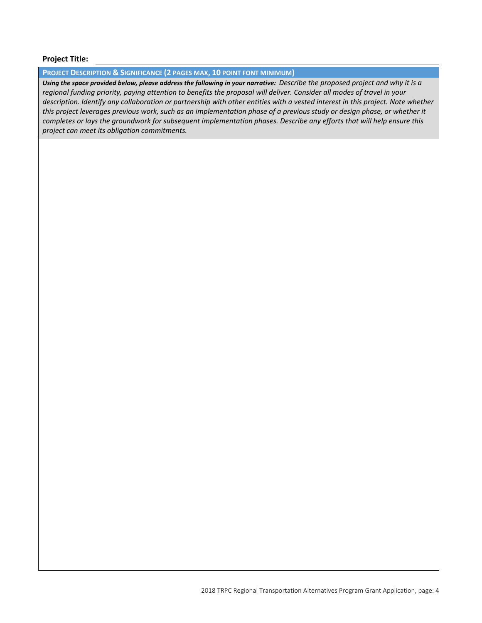Fort Stevens Elementary - Pedestrian Improvements

### **Project Title:**

#### **PROJECT DESCRIPTION & SIGNIFICANCE (2 PAGES MAX, 10 POINT FONT MINIMUM)**

*Using the space provided below, please address the following in your narrative: Describe the proposed project and why it is a regional funding priority, paying attention to benefits the proposal will deliver. Consider all modes of travel in your description. Identify any collaboration or partnership with other entities with a vested interest in this project. Note whether this project leverages previous work, such as an implementation phase of a previous study or design phase, or whether it completes or lays the groundwork for subsequent implementation phases. Describe any efforts that will help ensure this project can meet its obligation commitments.*

City staff worked directly with the Yelm School District to evaluate the projects proposed improvements and determine the underlying benefits to the school and surrounding neighborhoods. This project was first added to the City's 6-year TIP in 2015 as a potential project to fill gaps in our pedestrian and school infrastructure. That process included a public comment period prior to a resolution to adopt the TIP, presentation to City Council for annual adoption of the TIP and taking public comment at City Council Meetings.From the school officials, there is a total of 568 students at the school and there are 219 students listed for walking which is also the number of children that live within 1-mile of the school that are not accounted for in bus or bike trips. Currently the School District is required to provide bus service to area students within the 1-mile area as pedestrian routes around the school are designated as hazardous routes without completion of a sidewalk network to access the school. This project would alleviate that issue and also reduce bus service and operating costs to the school district.

The Grove Road SE construction area is outside of the City limits and the County has agreed to support the project. A supporting e-mail has been attached to this application for reference.

This project has a particular emphasis on children walking to schools and intersection safety. It applies specifically to this project and supports 1a, 1l, 2a, 2b, 2d, 3a, 3b, 3c, 4c, 4e, 5b, 6a, 6b, 7a, 9c, 9d, 9g, 10f, 10g, 10i, 12a, 12b, 12d, 12f, 16b, 18e, and 18h of the 2040 Regional Transportation Plan goals and policies.

The project consists of the construction of curb, gutter and 5-foot wide concrete sidewalk along the north side of 100th Way SE and along the west side of Grove Road SE. The project will begin at the intersection on Middle Road SE and 100th Way SE, and will extend along the north side of 100th Way SE to the intersection of Grove Road SE. It will include a planter strip along the north side of 100th Way SE to the intersection of Grove Road SE. It will connect to Fort Stevens Elementary, located on the south side of 100th Way SE, via two crossings located to match existing walking path and sidewalk access points to the school grounds. The existing walking path leading into the school will be maintained by the School District.

The project will also connect to an existing sidewalk along the west side of Grove Road SE located approximately 170 feet north of the intersection of 100th Ct SE and Grove Road SE, and will tie into the north side of 100th Way SE. A storm water conveyance, water quality and infiltration system will be installed within ROW and shoulder area just west of Harold Ct. At the connection from Harold Ct and the bend at 100th St SE and 100th Way SE, RRFB crossing will be installed for added visibility and safety. This project includes ADA compliant curb ramp retrofits.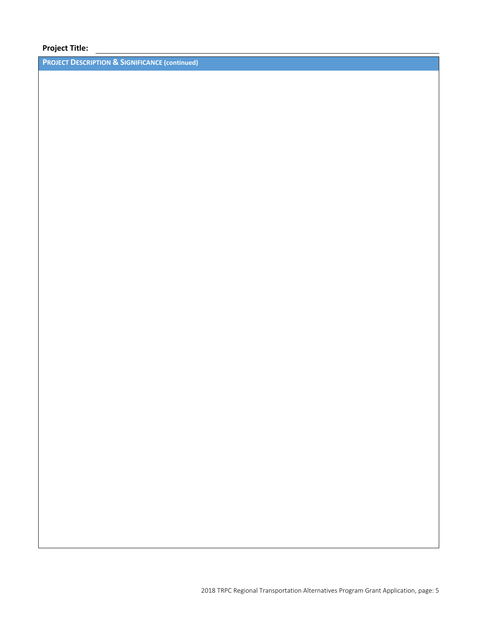Fort Stevens Elementary - Pedestrian Improvements

## **Project Title:**

**PROJECT DESCRIPTION & SIGNIFICANCE (continued)**